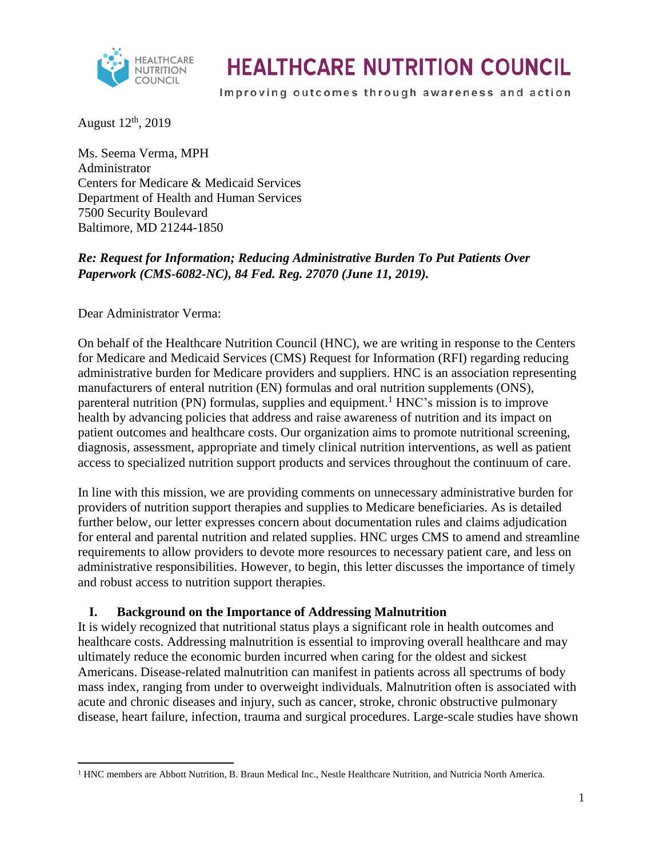

Improving outcomes through awareness and action

August  $12<sup>th</sup>$ , 2019

Ms. Seema Verma, MPH Administrator Centers for Medicare & Medicaid Services Department of Health and Human Services 7500 Security Boulevard Baltimore, MD 21244-1850

### *Re: Request for Information; Reducing Administrative Burden To Put Patients Over Paperwork (CMS-6082-NC), 84 Fed. Reg. 27070 (June 11, 2019).*

Dear Administrator Verma:

On behalf of the Healthcare Nutrition Council (HNC), we are writing in response to the Centers for Medicare and Medicaid Services (CMS) Request for Information (RFI) regarding reducing administrative burden for Medicare providers and suppliers. HNC is an association representing manufacturers of enteral nutrition (EN) formulas and oral nutrition supplements (ONS), parenteral nutrition (PN) formulas, supplies and equipment.<sup>1</sup> HNC's mission is to improve health by advancing policies that address and raise awareness of nutrition and its impact on patient outcomes and healthcare costs. Our organization aims to promote nutritional screening, diagnosis, assessment, appropriate and timely clinical nutrition interventions, as well as patient access to specialized nutrition support products and services throughout the continuum of care.

In line with this mission, we are providing comments on unnecessary administrative burden for providers of nutrition support therapies and supplies to Medicare beneficiaries. As is detailed further below, our letter expresses concern about documentation rules and claims adjudication for enteral and parental nutrition and related supplies. HNC urges CMS to amend and streamline requirements to allow providers to devote more resources to necessary patient care, and less on administrative responsibilities. However, to begin, this letter discusses the importance of timely and robust access to nutrition support therapies.

#### **I. Background on the Importance of Addressing Malnutrition**

It is widely recognized that nutritional status plays a significant role in health outcomes and healthcare costs. Addressing malnutrition is essential to improving overall healthcare and may ultimately reduce the economic burden incurred when caring for the oldest and sickest Americans. Disease-related malnutrition can manifest in patients across all spectrums of body mass index, ranging from under to overweight individuals. Malnutrition often is associated with acute and chronic diseases and injury, such as cancer, stroke, chronic obstructive pulmonary disease, heart failure, infection, trauma and surgical procedures. Large-scale studies have shown

 $\overline{a}$ <sup>1</sup> HNC members are Abbott Nutrition, B. Braun Medical Inc., Nestle Healthcare Nutrition, and Nutricia North America.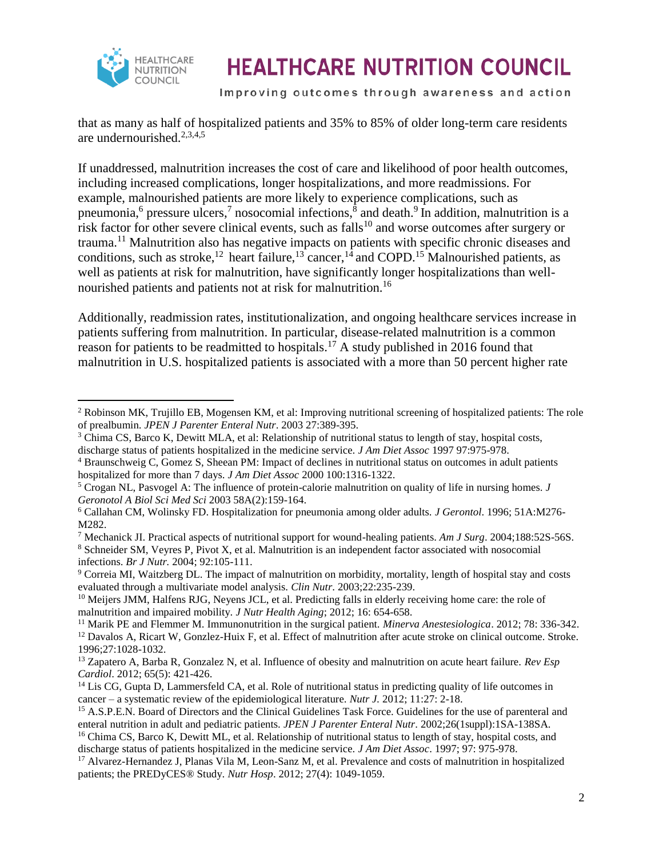

Improving outcomes through awareness and action

that as many as half of hospitalized patients and 35% to 85% of older long-term care residents are undernourished. $2,3,4,5$ 

If unaddressed, malnutrition increases the cost of care and likelihood of poor health outcomes, including increased complications, longer hospitalizations, and more readmissions. For example, malnourished patients are more likely to experience complications, such as pneumonia,<sup>6</sup> pressure ulcers,<sup>7</sup> nosocomial infections,<sup>8</sup> and death.<sup>9</sup> In addition, malnutrition is a risk factor for other severe clinical events, such as falls<sup>10</sup> and worse outcomes after surgery or trauma.<sup>11</sup> Malnutrition also has negative impacts on patients with specific chronic diseases and conditions, such as stroke,<sup>12</sup> heart failure,<sup>13</sup> cancer,<sup>14</sup> and COPD.<sup>15</sup> Malnourished patients, as well as patients at risk for malnutrition, have significantly longer hospitalizations than wellnourished patients and patients not at risk for malnutrition.<sup>16</sup>

Additionally, readmission rates, institutionalization, and ongoing healthcare services increase in patients suffering from malnutrition. In particular, disease-related malnutrition is a common reason for patients to be readmitted to hospitals.<sup>17</sup> A study published in 2016 found that malnutrition in U.S. hospitalized patients is associated with a more than 50 percent higher rate

<sup>7</sup> Mechanick JI. Practical aspects of nutritional support for wound-healing patients. *Am J Surg*. 2004;188:52S-56S.

<sup>8</sup> Schneider SM, Veyres P, Pivot X, et al. Malnutrition is an independent factor associated with nosocomial infections. *Br J Nutr.* 2004; 92:105-111.

 $\overline{\phantom{a}}$ <sup>2</sup> Robinson MK, Trujillo EB, Mogensen KM, et al: Improving nutritional screening of hospitalized patients: The role of prealbumin. *JPEN J Parenter Enteral Nutr*. 2003 27:389-395.

<sup>&</sup>lt;sup>3</sup> Chima CS, Barco K, Dewitt MLA, et al: Relationship of nutritional status to length of stay, hospital costs, discharge status of patients hospitalized in the medicine service*. J Am Diet Assoc* 1997 97:975-978.

<sup>4</sup> Braunschweig C, Gomez S, Sheean PM: Impact of declines in nutritional status on outcomes in adult patients hospitalized for more than 7 days. *J Am Diet Assoc* 2000 100:1316-1322.

<sup>5</sup> Crogan NL, Pasvogel A: The influence of protein-calorie malnutrition on quality of life in nursing homes*. J Geronotol A Biol Sci Med Sci* 2003 58A(2):159-164.

<sup>6</sup> Callahan CM, Wolinsky FD. Hospitalization for pneumonia among older adults. *J Gerontol*. 1996; 51A:M276- M282.

<sup>9</sup> Correia MI, Waitzberg DL. The impact of malnutrition on morbidity, mortality, length of hospital stay and costs evaluated through a multivariate model analysis. *Clin Nutr*. 2003;22:235-239.

<sup>&</sup>lt;sup>10</sup> Meijers JMM, Halfens RJG, Neyens JCL, et al. Predicting falls in elderly receiving home care: the role of malnutrition and impaired mobility. *J Nutr Health Aging*; 2012; 16: 654-658.

<sup>11</sup> Marik PE and Flemmer M. Immunonutrition in the surgical patient. *Minerva Anestesiologica*. 2012; 78: 336-342. <sup>12</sup> Davalos A, Ricart W, Gonzlez-Huix F, et al. Effect of malnutrition after acute stroke on clinical outcome. Stroke. 1996;27:1028-1032.

<sup>13</sup> Zapatero A, Barba R, Gonzalez N, et al. Influence of obesity and malnutrition on acute heart failure. *Rev Esp Cardiol*. 2012; 65(5): 421-426.

<sup>&</sup>lt;sup>14</sup> Lis CG, Gupta D, Lammersfeld CA, et al. Role of nutritional status in predicting quality of life outcomes in cancer – a systematic review of the epidemiological literature. *Nutr J.* 2012; 11:27: 2-18.

<sup>&</sup>lt;sup>15</sup> A.S.P.E.N. Board of Directors and the Clinical Guidelines Task Force. Guidelines for the use of parenteral and enteral nutrition in adult and pediatric patients. *JPEN J Parenter Enteral Nutr*. 2002;26(1suppl):1SA-138SA.

<sup>&</sup>lt;sup>16</sup> Chima CS, Barco K, Dewitt ML, et al. Relationship of nutritional status to length of stay, hospital costs, and discharge status of patients hospitalized in the medicine service. *J Am Diet Assoc*. 1997; 97: 975-978.

<sup>&</sup>lt;sup>17</sup> Alvarez-Hernandez J, Planas Vila M, Leon-Sanz M, et al. Prevalence and costs of malnutrition in hospitalized patients; the PREDyCES® Study. *Nutr Hosp*. 2012; 27(4): 1049-1059.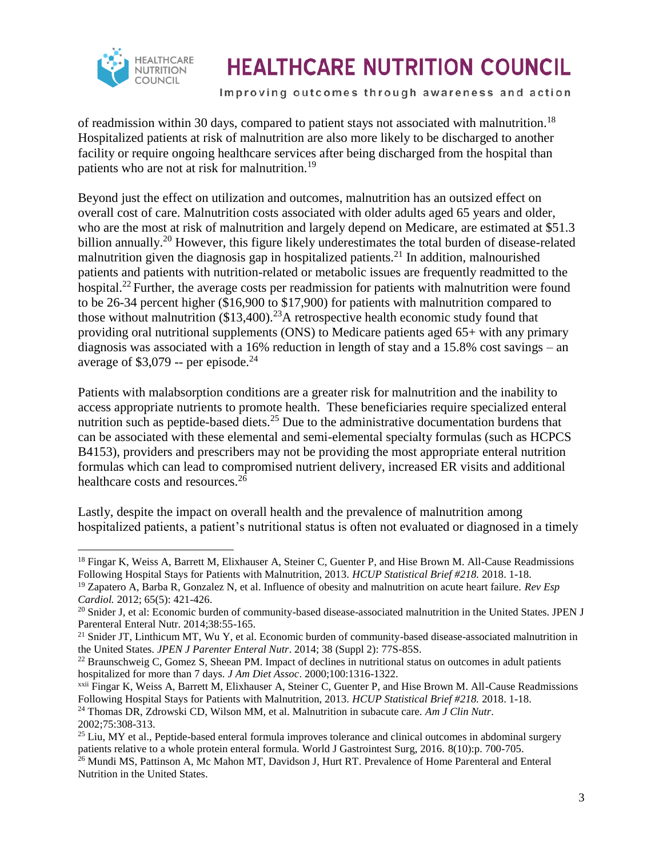

Improving outcomes through awareness and action

of readmission within 30 days, compared to patient stays not associated with malnutrition.<sup>18</sup> Hospitalized patients at risk of malnutrition are also more likely to be discharged to another facility or require ongoing healthcare services after being discharged from the hospital than patients who are not at risk for malnutrition.<sup>19</sup>

Beyond just the effect on utilization and outcomes, malnutrition has an outsized effect on overall cost of care. Malnutrition costs associated with older adults aged 65 years and older, who are the most at risk of malnutrition and largely depend on Medicare, are estimated at \$51.3 billion annually.<sup>20</sup> However, this figure likely underestimates the total burden of disease-related malnutrition given the diagnosis gap in hospitalized patients.<sup>21</sup> In addition, malnourished patients and patients with nutrition-related or metabolic issues are frequently readmitted to the hospital.<sup>22</sup> Further, the average costs per readmission for patients with malnutrition were found to be 26-34 percent higher (\$16,900 to \$17,900) for patients with malnutrition compared to those without malnutrition  $(\$13,400).^{23}$  A retrospective health economic study found that providing oral nutritional supplements (ONS) to Medicare patients aged 65+ with any primary diagnosis was associated with a 16% reduction in length of stay and a 15.8% cost savings – an average of \$3,079 -- per episode. $^{24}$ 

Patients with malabsorption conditions are a greater risk for malnutrition and the inability to access appropriate nutrients to promote health. These beneficiaries require specialized enteral nutrition such as peptide-based diets.<sup>25</sup> Due to the administrative documentation burdens that can be associated with these elemental and semi-elemental specialty formulas (such as HCPCS B4153), providers and prescribers may not be providing the most appropriate enteral nutrition formulas which can lead to compromised nutrient delivery, increased ER visits and additional healthcare costs and resources.<sup>26</sup>

Lastly, despite the impact on overall health and the prevalence of malnutrition among hospitalized patients, a patient's nutritional status is often not evaluated or diagnosed in a timely

2002;75:308-313.

 $\overline{\phantom{a}}$ <sup>18</sup> Fingar K, Weiss A, Barrett M, Elixhauser A, Steiner C, Guenter P, and Hise Brown M. All-Cause Readmissions Following Hospital Stays for Patients with Malnutrition, 2013. *HCUP Statistical Brief #218.* 2018. 1-18.

<sup>19</sup> Zapatero A, Barba R, Gonzalez N, et al. Influence of obesity and malnutrition on acute heart failure. *Rev Esp Cardiol.* 2012; 65(5): 421-426.

<sup>&</sup>lt;sup>20</sup> Snider J, et al: Economic burden of community-based disease-associated malnutrition in the United States. JPEN J Parenteral Enteral Nutr. 2014;38:55-165.

<sup>&</sup>lt;sup>21</sup> Snider JT, Linthicum MT, Wu Y, et al. Economic burden of community-based disease-associated malnutrition in the United States. *JPEN J Parenter Enteral Nutr*. 2014; 38 (Suppl 2): 77S-85S.

<sup>&</sup>lt;sup>22</sup> Braunschweig C, Gomez S, Sheean PM. Impact of declines in nutritional status on outcomes in adult patients hospitalized for more than 7 days. *J Am Diet Assoc*. 2000;100:1316-1322.

xxii Fingar K, Weiss A, Barrett M, Elixhauser A, Steiner C, Guenter P, and Hise Brown M. All-Cause Readmissions Following Hospital Stays for Patients with Malnutrition, 2013. *HCUP Statistical Brief #218.* 2018. 1-18. <sup>24</sup> Thomas DR, Zdrowski CD, Wilson MM, et al. Malnutrition in subacute care. *Am J Clin Nutr*.

<sup>&</sup>lt;sup>25</sup> Liu, MY et al., Peptide-based enteral formula improves tolerance and clinical outcomes in abdominal surgery patients relative to a whole protein enteral formula. World J Gastrointest Surg, 2016. 8(10):p. 700-705.

<sup>&</sup>lt;sup>26</sup> Mundi MS, Pattinson A, Mc Mahon MT, Davidson J, Hurt RT. Prevalence of Home Parenteral and Enteral Nutrition in the United States.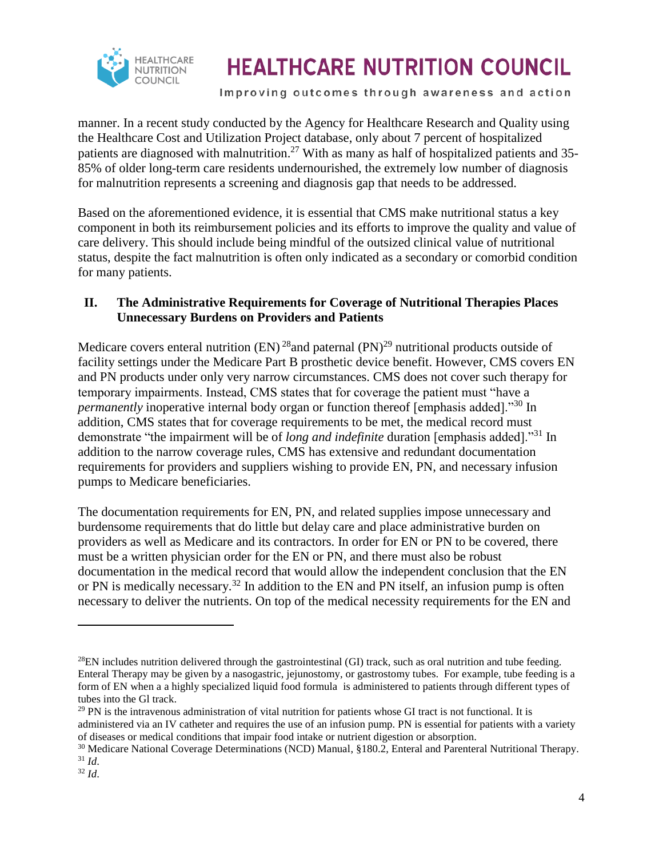

Improving outcomes through awareness and action

manner. In a recent study conducted by the Agency for Healthcare Research and Quality using the Healthcare Cost and Utilization Project database, only about 7 percent of hospitalized patients are diagnosed with malnutrition.<sup>27</sup> With as many as half of hospitalized patients and 35-85% of older long-term care residents undernourished, the extremely low number of diagnosis for malnutrition represents a screening and diagnosis gap that needs to be addressed.

Based on the aforementioned evidence, it is essential that CMS make nutritional status a key component in both its reimbursement policies and its efforts to improve the quality and value of care delivery. This should include being mindful of the outsized clinical value of nutritional status, despite the fact malnutrition is often only indicated as a secondary or comorbid condition for many patients.

#### **II. The Administrative Requirements for Coverage of Nutritional Therapies Places Unnecessary Burdens on Providers and Patients**

Medicare covers enteral nutrition (EN)<sup>28</sup> and paternal (PN)<sup>29</sup> nutritional products outside of facility settings under the Medicare Part B prosthetic device benefit. However, CMS covers EN and PN products under only very narrow circumstances. CMS does not cover such therapy for temporary impairments. Instead, CMS states that for coverage the patient must "have a *permanently* inoperative internal body organ or function thereof [emphasis added]."<sup>30</sup> In addition, CMS states that for coverage requirements to be met, the medical record must demonstrate "the impairment will be of *long and indefinite* duration [emphasis added]."<sup>31</sup> In addition to the narrow coverage rules, CMS has extensive and redundant documentation requirements for providers and suppliers wishing to provide EN, PN, and necessary infusion pumps to Medicare beneficiaries.

The documentation requirements for EN, PN, and related supplies impose unnecessary and burdensome requirements that do little but delay care and place administrative burden on providers as well as Medicare and its contractors. In order for EN or PN to be covered, there must be a written physician order for the EN or PN, and there must also be robust documentation in the medical record that would allow the independent conclusion that the EN or PN is medically necessary.<sup>32</sup> In addition to the EN and PN itself, an infusion pump is often necessary to deliver the nutrients. On top of the medical necessity requirements for the EN and

 $\overline{\phantom{a}}$ 

 $^{28}$ EN includes nutrition delivered through the gastrointestinal (GI) track, such as oral nutrition and tube feeding. Enteral Therapy may be given by a nasogastric, jejunostomy, or gastrostomy tubes. For example, tube feeding is a form of EN when a a highly specialized liquid food formula is administered to patients through different types of tubes into the Gl track.

 $^{29}$  PN is the intravenous administration of vital nutrition for patients whose GI tract is not functional. It is administered via an IV catheter and requires the use of an infusion pump. PN is essential for patients with a variety of diseases or medical conditions that impair food intake or nutrient digestion or absorption.

<sup>30</sup> Medicare National Coverage Determinations (NCD) Manual, §180.2, Enteral and Parenteral Nutritional Therapy. <sup>31</sup> *Id*.

<sup>32</sup> *Id*.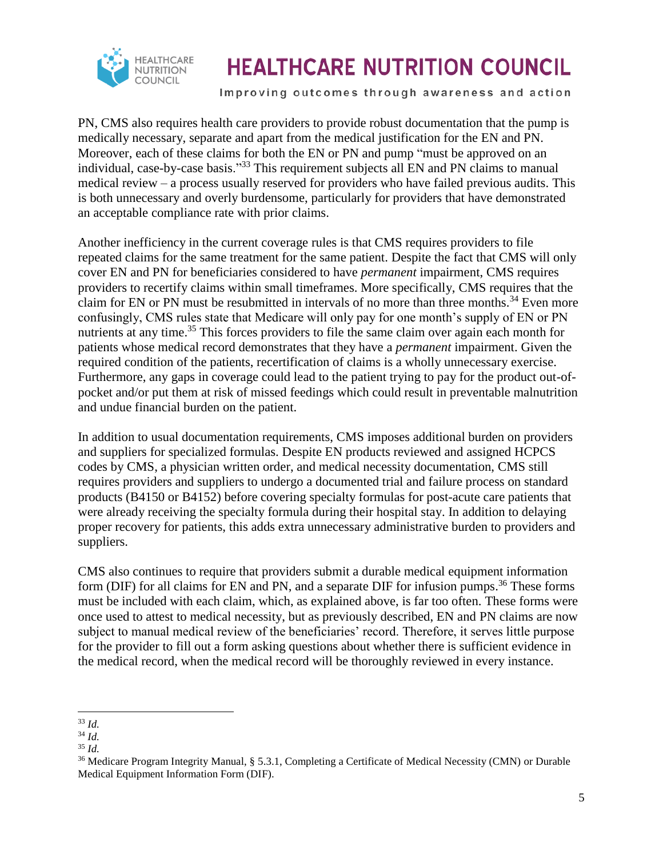

Improving outcomes through awareness and action

PN, CMS also requires health care providers to provide robust documentation that the pump is medically necessary, separate and apart from the medical justification for the EN and PN. Moreover, each of these claims for both the EN or PN and pump "must be approved on an individual, case-by-case basis."<sup>33</sup> This requirement subjects all EN and PN claims to manual medical review – a process usually reserved for providers who have failed previous audits. This is both unnecessary and overly burdensome, particularly for providers that have demonstrated an acceptable compliance rate with prior claims.

Another inefficiency in the current coverage rules is that CMS requires providers to file repeated claims for the same treatment for the same patient. Despite the fact that CMS will only cover EN and PN for beneficiaries considered to have *permanent* impairment, CMS requires providers to recertify claims within small timeframes. More specifically, CMS requires that the claim for EN or PN must be resubmitted in intervals of no more than three months.<sup>34</sup> Even more confusingly, CMS rules state that Medicare will only pay for one month's supply of EN or PN nutrients at any time.<sup>35</sup> This forces providers to file the same claim over again each month for patients whose medical record demonstrates that they have a *permanent* impairment. Given the required condition of the patients, recertification of claims is a wholly unnecessary exercise. Furthermore, any gaps in coverage could lead to the patient trying to pay for the product out-ofpocket and/or put them at risk of missed feedings which could result in preventable malnutrition and undue financial burden on the patient.

In addition to usual documentation requirements, CMS imposes additional burden on providers and suppliers for specialized formulas. Despite EN products reviewed and assigned HCPCS codes by CMS, a physician written order, and medical necessity documentation, CMS still requires providers and suppliers to undergo a documented trial and failure process on standard products (B4150 or B4152) before covering specialty formulas for post-acute care patients that were already receiving the specialty formula during their hospital stay. In addition to delaying proper recovery for patients, this adds extra unnecessary administrative burden to providers and suppliers.

CMS also continues to require that providers submit a durable medical equipment information form (DIF) for all claims for EN and PN, and a separate DIF for infusion pumps.<sup>36</sup> These forms must be included with each claim, which, as explained above, is far too often. These forms were once used to attest to medical necessity, but as previously described, EN and PN claims are now subject to manual medical review of the beneficiaries' record. Therefore, it serves little purpose for the provider to fill out a form asking questions about whether there is sufficient evidence in the medical record, when the medical record will be thoroughly reviewed in every instance.

l <sup>33</sup> *Id.*

<sup>34</sup> *Id.*

<sup>35</sup> *Id.*

<sup>36</sup> Medicare Program Integrity Manual, § 5.3.1, Completing a Certificate of Medical Necessity (CMN) or Durable Medical Equipment Information Form (DIF).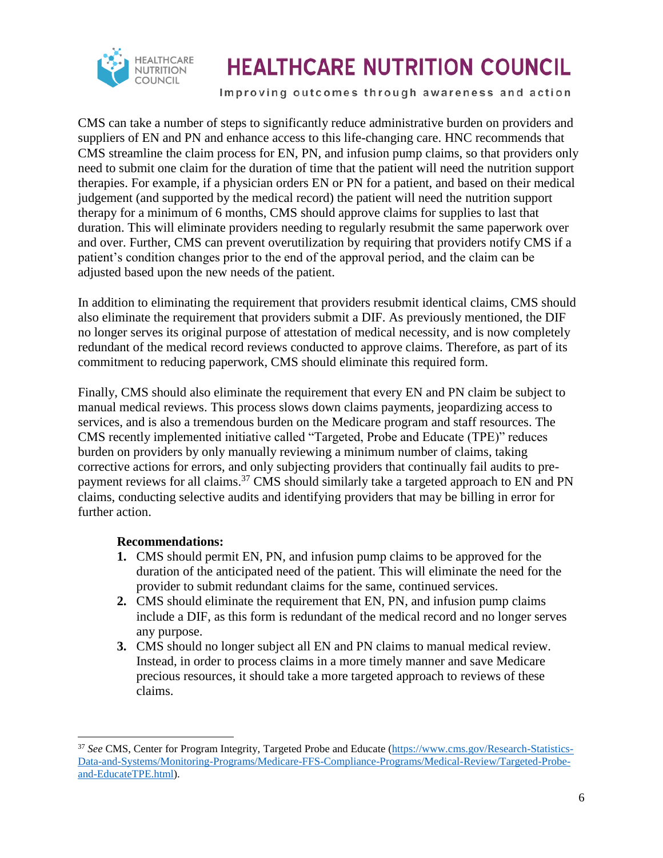

Improving outcomes through awareness and action

CMS can take a number of steps to significantly reduce administrative burden on providers and suppliers of EN and PN and enhance access to this life-changing care. HNC recommends that CMS streamline the claim process for EN, PN, and infusion pump claims, so that providers only need to submit one claim for the duration of time that the patient will need the nutrition support therapies. For example, if a physician orders EN or PN for a patient, and based on their medical judgement (and supported by the medical record) the patient will need the nutrition support therapy for a minimum of 6 months, CMS should approve claims for supplies to last that duration. This will eliminate providers needing to regularly resubmit the same paperwork over and over. Further, CMS can prevent overutilization by requiring that providers notify CMS if a patient's condition changes prior to the end of the approval period, and the claim can be adjusted based upon the new needs of the patient.

In addition to eliminating the requirement that providers resubmit identical claims, CMS should also eliminate the requirement that providers submit a DIF. As previously mentioned, the DIF no longer serves its original purpose of attestation of medical necessity, and is now completely redundant of the medical record reviews conducted to approve claims. Therefore, as part of its commitment to reducing paperwork, CMS should eliminate this required form.

Finally, CMS should also eliminate the requirement that every EN and PN claim be subject to manual medical reviews. This process slows down claims payments, jeopardizing access to services, and is also a tremendous burden on the Medicare program and staff resources. The CMS recently implemented initiative called "Targeted, Probe and Educate (TPE)" reduces burden on providers by only manually reviewing a minimum number of claims, taking corrective actions for errors, and only subjecting providers that continually fail audits to prepayment reviews for all claims.<sup>37</sup> CMS should similarly take a targeted approach to EN and PN claims, conducting selective audits and identifying providers that may be billing in error for further action.

#### **Recommendations:**

 $\overline{\phantom{a}}$ 

- **1.** CMS should permit EN, PN, and infusion pump claims to be approved for the duration of the anticipated need of the patient. This will eliminate the need for the provider to submit redundant claims for the same, continued services.
- **2.** CMS should eliminate the requirement that EN, PN, and infusion pump claims include a DIF, as this form is redundant of the medical record and no longer serves any purpose.
- **3.** CMS should no longer subject all EN and PN claims to manual medical review. Instead, in order to process claims in a more timely manner and save Medicare precious resources, it should take a more targeted approach to reviews of these claims.

<sup>37</sup> *See* CMS, Center for Program Integrity, Targeted Probe and Educate [\(https://www.cms.gov/Research-Statistics-](https://www.cms.gov/Research-Statistics-Data-and-Systems/Monitoring-Programs/Medicare-FFS-Compliance-Programs/Medical-Review/Targeted-Probe-and-EducateTPE.html)[Data-and-Systems/Monitoring-Programs/Medicare-FFS-Compliance-Programs/Medical-Review/Targeted-Probe](https://www.cms.gov/Research-Statistics-Data-and-Systems/Monitoring-Programs/Medicare-FFS-Compliance-Programs/Medical-Review/Targeted-Probe-and-EducateTPE.html)[and-EducateTPE.html\)](https://www.cms.gov/Research-Statistics-Data-and-Systems/Monitoring-Programs/Medicare-FFS-Compliance-Programs/Medical-Review/Targeted-Probe-and-EducateTPE.html).